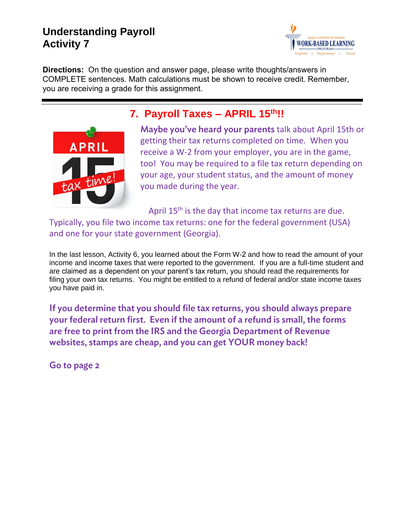## **Understanding Payroll Activity 7**



**Directions:** On the question and answer page, please write thoughts/answers in COMPLETE sentences. Math calculations must be shown to receive credit. Remember, you are receiving a grade for this assignment.



## **7. Payroll Taxes – APRIL 15th!!**

Maybe you've heard your parents talk about April 15th or getting their tax returns completed on time. When you receive a W-2 from your employer, you are in the game, too! You may be required to a file tax return depending on your age, your student status, and the amount of money you made during the year.

April 15<sup>th</sup> is the day that income tax returns are due. Typically, you file two income tax returns: one for the federal government (USA) and one for your state government (Georgia).

In the last lesson, Activity 6, you learned about the Form W-2 and how to read the amount of your income and income taxes that were reported to the government. If you are a full-time student and are claimed as a dependent on your parent's tax return, you should read the requirements for filing your own tax returns. You might be entitled to a refund of federal and/or state income taxes you have paid in.

If you determine that you should file tax returns, you should always prepare your federal return first. Even if the amount of a refund is small, the forms are free to print from the IRS and the Georgia Department of Revenue websites, stamps are cheap, and you can get YOUR money back!

Go to page 2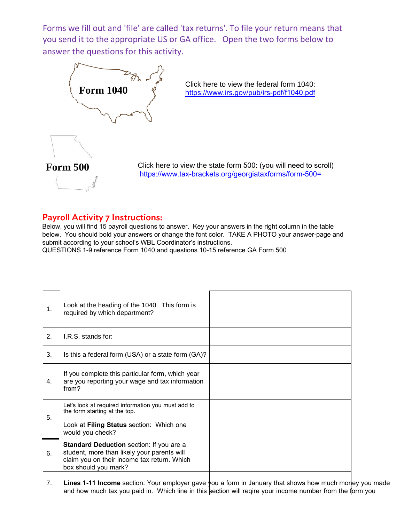Forms we fill out and 'file' are called 'tax returns'. To file your return means that you send it to the appropriate US or GA office. Open the two forms below to answer the questions for this activity.



Click here to view the federal form 1040: [https://www.irs.gov/pub/irs-pdf/f1040.pdf](http://www.irs.gov/pub/irs-pdf/f1040ez.pdf)



Click here to view the state form 500: (you will need to scroll) https://www.tax-brackets.org/georgiataxforms/form-500=

## Payroll Activity 7 Instructions:

Below, you will find 15 payroll questions to answer. Key your answers in the right column in the table below. You should bold your answers or change the font color. TAKE A PHOTO your answer-page and submit according to your school's WBL Coordinator's instructions. QUESTIONS 1-9 reference Form 1040 and questions 10-15 reference GA Form 500

| 1. | Look at the heading of the 1040. This form is<br>required by which department?                                                                                                                                      |  |
|----|---------------------------------------------------------------------------------------------------------------------------------------------------------------------------------------------------------------------|--|
| 2. | I.R.S. stands for:                                                                                                                                                                                                  |  |
| 3. | Is this a federal form (USA) or a state form (GA)?                                                                                                                                                                  |  |
| 4. | If you complete this particular form, which year<br>are you reporting your wage and tax information<br>from?                                                                                                        |  |
| 5. | Let's look at required information you must add to<br>the form starting at the top.<br>Look at Filing Status section: Which one<br>would you check?                                                                 |  |
| 6. | Standard Deduction section: If you are a<br>student, more than likely your parents will<br>claim you on their income tax return. Which<br>box should you mark?                                                      |  |
| 7. | Lines 1-11 Income section: Your employer gave you a form in January that shows how much morey you made<br>and how much tax you paid in. Which line in this section will reqire your income number from the form you |  |